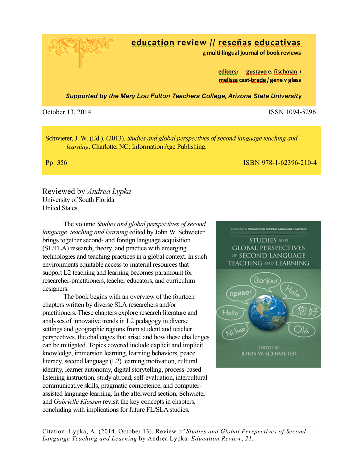education review // reseñas educativas

a multi-lingual journal of book reviews

editors: gustavo e. fischman / melissa cast-brede / gene v glass

**Supported by the Mary Lou Fulton Teachers College, Arizona State University** 

## October 13, 2014 ISSN 1094-5296

Schwieter, J. W. (Ed.). (2013). *Studies and global perspectives of second language teaching and learning*. Charlotte, NC: Information Age Publishing.

Pp. 356 ISBN 978-1-62396-210-4

Reviewed by *Andrea Lypka* University of South Florida United States

The volume *Studies and global perspectives of second language teaching and learning* edited by John W. Schwieter brings together second- and foreign language acquisition (SL/FLA) research, theory, and practice with emerging technologies and teaching practices in a global context. In such environments equitable access to material resources that support L2 teaching and learning becomes paramount for researcher-practitioners, teacher educators, and curriculum designers.

The book begins with an overview of the fourteen chapters written by diverse SLA researchers and/or practitioners. These chapters explore research literature and analyses of innovative trends in L2 pedagogy in diverse settings and geographic regions from student and teacher perspectives, the challenges that arise, and how these challenges can be mitigated. Topics covered include explicit and implicit knowledge, immersion learning, learning behaviors, peace literacy, second language (L2) learning motivation, cultural identity, learner autonomy, digital storytelling, process-based listening instruction, study abroad, self-evaluation, intercultural communicative skills, pragmatic competence, and computerassisted language learning. In the afterword section, Schwieter and *Gabrielle Klassen* revisit the key concepts in chapters, concluding with implications for future FL/SLA studies.



Citation: Lypka, A. (2014, October 13). Review of *Studies and Global Perspectives of Second Language Teaching and Learning* by Andrea Lypka. *Education Review*, *21.*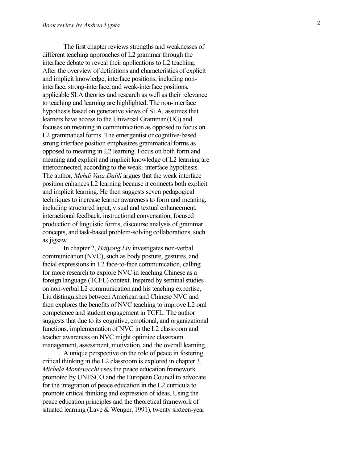The first chapter reviews strengths and weaknesses of di fferent teaching approaches of L2 grammar through the interface debate to reveal their applications to L2 teaching. After the overview of definitions and characteristics of explicit and implicit knowledge, interface positions, including non interface, strong-interface, and weak-interface positions, applicable SLA theories and research as well as their relevance to teaching and learning are highlighted. The non -interface hypothesis based on generative views of SLA, assumes that learners have access to the Universal Grammar (UG) and focuses on meaning in communication as opposed to focus on L2 grammatical forms. The eme rgentist or cognitive -based strong interface position emphasizes grammatical forms as opposed to meaning in L2 learning. Focus on both form and meaning and explicit and implicit knowledge of L2 learning are interconnected, according to the weak - interface hypothesis. The author, *Mehdi Vaez Dalili* argues that the weak interface position enhances L2 learning because it connects both explicit and implicit learning. He then suggests seven pedagogical techniques to increase learner awareness to form and meaning, including structured input, visual and textual enhancement, interactional feedback, instructional conversation, focused production of linguistic forms, discourse analysis of grammar concepts, and task-based problem-solving collaborations, such as jigsaw .

In chapter 2, *Haiyong Liu* investigates non -verbal communication (NVC), such as body posture, gestures, and facial expressions in L2 face -to -face communication, calling for more research to explore NVC in teaching Chinese as a foreign language (TCFL) context. Inspired by seminal studies on non -verbal L2 communication and his teaching expertise, Liu distinguishes between American and Chinese NVC and then explores the benefits of NVC teaching to improve L2 oral competence and student engagement in TCFL. The author suggests that due to its cognitive, emotional, and o rganizational functions, implementation of NVC in the L2 classroom and teacher awareness on NVC might optimize classroom management, assessment, motivation, and the overall learning. A unique perspective on the role of peace in fostering

critical thinking in the L2 classroom is explored in chapter 3. *Michela Montevecchi* uses the peace education framework promoted by UNESCO and the European Council to advocate for the integration of peace education in the L2 curricula to promote critical thinking and expression of ideas. Using the peace education principles and the theoretical framework of situated learning (Lave & Wenger, 1991), twenty sixteen-year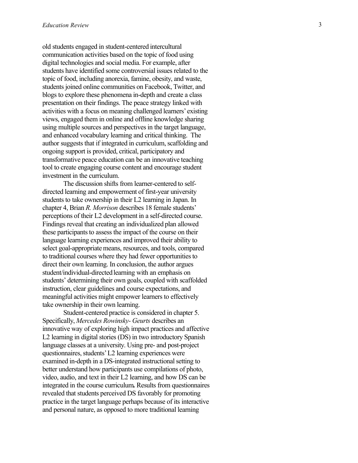old students engaged in student -centered intercultural communication activities based on the topic of food using digital technologies and social media. For example, after students have identified some controversial issues related to the topic of food, including anorexia, famine, obesity, and waste, students joined online communities on Facebook, Twitter, and blogs to explore these phenomena in -depth and create a class presentation on their findings. The peace strategy linked with activities with a focus on meaning challenged learners' existing views, engaged them in online and o ffline knowledge sharing using multiple sources and perspectives in the target language, and enhanced vocabulary learning and critical thinking. The author suggests that if integrated in curriculum, scaffolding and ongoing support is provided, critical, participatory and transformative peace education can be an innovative teaching tool to create engaging course content and encourage student investment in the curriculum.

The discussion shifts from learner-centered to selfdirected learning and empowerment of first-year university students to take ownership in their L2 learning in Japan. In chapter 4, Brian *R. Morrison* describes 18 female students' perceptions of their L2 development in a self-directed course. Findings reveal that creating an individualized plan allowed these participants to assess the impact of the course on their language learning experiences and improved their ability to select goal-appropriate means, resources, and tools, compared to traditional courses where they had fewer opportunitiesto direct their own learning. In conclusion, the author argues student/individual-directed learning with an emphasis on students' determining their own goals, coupled with sca ffolded instruction, clear guidelines and course expectations, and meaningful activities might empower learners to e ffectively take ownership in their own learning.

Student -centered practice is considered in chapter 5. Specifically, *Me rcedes Rowinsky - Geurts* describes an innovative way of exploring high impact practices and a ffective L2 learning in digital stories (DS) in two introductory Spanish language classes at a university. Using pre - and post -project questionnaires, students' L2 learning experiences were examined in-depth in a DS-integrated instructional setting to better understand how participants use compilations of photo, video, audio, and text in their L2 learning, and how DS can be integrated in the course curriculum*.* Results from questionnaires revealed that students perceived DS favorably for promoting practice in the target language perhaps because of its interactive and personal nature, as opposed to more traditional learning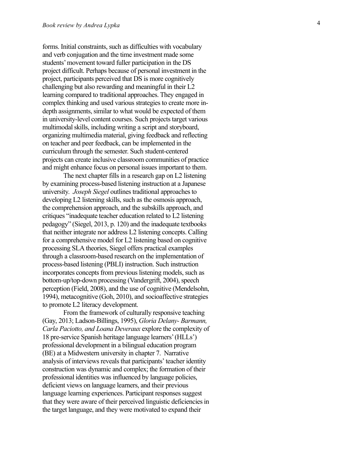forms. Initial constraints, such as di fficulties with vocabulary and verb conjugation and the time investment made some students'movement toward fuller participation in the DS project di fficult. Perhaps because of personal investment in the project, participants perceived that DS is more cognitively challenging but also rewarding and meaningful in their L2 learning compared to traditional approaches. They engaged in complex thinking and used various strategies to create more in depth assignments, similar to what would be expected of them in university -level content courses. Such projects target various multimodal skills, including writing a script and storyboard, o rganizing multimedia material, giving feedback and reflecting on teacher and peer feedback, can be implemented in the curriculum through the semeste r . Such student -centered projects can create inclusive classroom communities of practice and might enhance focus on personal issues important to them.

The next chapter fills in a research gap on L2 listening by examining process -based listening instruction at a Japanese university. Joseph Siegel outlines traditional approaches to developing L2 listening skills, such as the osmosis approach, the comprehension approach, and the subskills approach, and critiques "inadequate teacher education related to L2 listening pedagogy" (Siegel, 2013, p. 120) and the inadequate textbooks that neither integrate nor address L2 listening concepts. Calling for a comprehensive model for L2 listening based on cognitive processing SLA theories, Siegel o ffers practical examples through a classroom -based research on the implementation of process -based listening (PBLI) instruction. Such instruction incorporates concepts from previous listening models, such as bottom -up/top -down processing ( Vande rgrift, 2004), speech perception (Field, 2008), and the use of cognitive (Mendelsohn, 1994), metacognitive (Goh, 2010), and socioa ffective strategies to promote L2 literacy development.

From the framework of culturally responsive teaching (Gay, 2013; Ladson -Billings, 1995), *Gloria Delany - Barmann, Carla Paciotto, and Loana Deveraux* explore the complexity of 18 pre -service Spanish heritage language learners'(HLLs') professional development in a bilingual education program (BE) at a Midwestern university in chapter 7. Narrative analysis of interviews reveals that participants'teacher identity construction was dynamic and complex; the formation of their professional identities was influenced by language policies, deficient views on language learners, and their previous language learning experiences. Participant responses suggest that they were aware of their perceived linguistic deficiencies in the target language, and they were motivated to expand their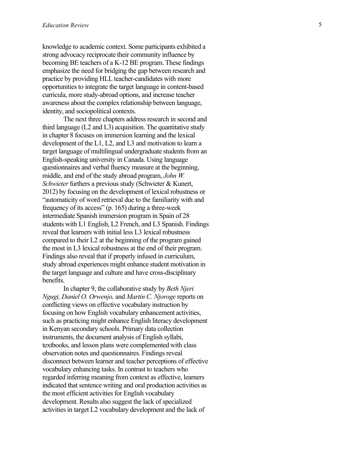knowledge to academic context. Some participants exhibited a strong advocacy reciprocate their community influence by becoming BE teachers of a K -12 BE program. These findings emphasize the need for bridging the gap between research and practice by providing HLL teacher -candidates with more opportunities to integrate the target language in content -based curricula, more study -abroad options, and increase teacher awareness about the complex relationship between language, identity, and sociopolitical contexts.

The next three chapters address research in second and third language (L2 and L3) acquisition. The quantitative study in chapter 8 focuses on immersion learning and the lexical development of the L1, L2, and L3 and motivation to learn a target language of multilingual undergraduate students from an English -speaking university in Canada. Using language questionnaires and verbal fluency measure at the beginning, middle, and end of the study abroad program, *John W.*  Schwieter furthers a previous study (Schwieter & Kunert, 2012) by focusing on the development of lexical robustness or "automaticity of word retrieval due to the familiarity with and frequency of its access" (p. 165) during a three-week intermediate Spanish immersion program in Spain of 28 students with L1 English, L2 French, and L3 Spanish. Findings reveal that learners with initial less L3 lexical robustness compared to their L2 at the beginning of the program gained the most in L3 lexical robustness at the end of their program. Findings also reveal that if properly infused in curriculum, study abroad experiences might enhance student motivation in the target language and culture and have cross -disciplinary benefits.

In chapter 9, the collaborative study by *Beth Njeri Ngugi, Daniel O. Orwenjo,* and *Martin C. Njo roge* reports on conflicting views on e ffective vocabulary instruction by focusing on how English vocabulary enhancement activities, such as practicing might enhance English literacy development in Kenyan secondary schools. Primary data collection instruments, the document analysis of English syllabi, textbooks, and lesson plans were complemented with class observation notes and questionnaires. Findings reveal disconnect between learner and teacher perceptions of e ffective vocabulary enhancing tasks. In contrast to teachers who regarded inferring meaning from context as e ffective, learners indicated that sentence writing and oral production activities as the most efficient activities for English vocabulary development. Results also suggest the lack of specialized activities in target L2 vocabulary development and the lack of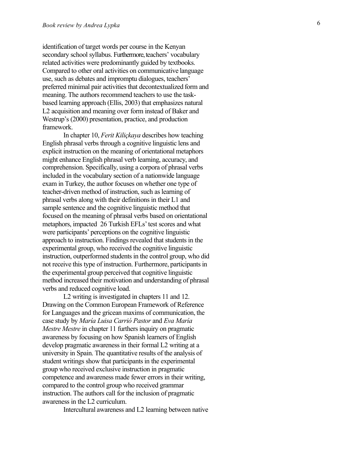identification of target words per course in the Kenyan secondary school syllabus. Furthermore, teachers' vocabulary related activities were predominantly guided by textbooks. Compared to other oral activities on communicative language use, such as debates and impromptu dialogues, teachers' preferred minimal pair activities that decontextualized form and meaning. The authors recommend teachers to use the task based learning approach (Ellis, 2003) that emphasizes natural L2 acquisition and meaning over form instead of Baker and Westrup's (2000) presentation, practice, and production framework.

In chapter 10, *Ferit Kiliçkaya* describes how teaching English phrasal verbs through a cognitive linguistic lens and explicit instruction on the meaning of orientational metaphors might enhance English phrasal verb learning, accurac y, and comprehension. Specifically, using a corpora of phrasal verbs included in the vocabulary section of a nationwide language exam in Turke y, the author focuses on whether one type of teache r -driven method of instruction, such as learning of phrasal verbs along with their definitions in their L1 and sample sentence and the cognitive linguistic method that focused on the meaning of phrasal verbs based on orientational metaphors, impacted 26 Turkish EFLs'test scores and what were participants' perceptions on the cognitive linguistic approach to instruction. Findings revealed that students in the experimental group, who received the cognitive linguistic instruction, outperformed students in the control group, who did not receive this type of instruction. Furthermore, participants in the experimental group perceived that cognitive linguistic method increased their motivation and understanding of phrasal verbs and reduced cognitive load.

L2 writing is investigated in chapters 11 and 12. Drawing on the Common European Framework of Reference for Languages and the gricean maxims of communication, the case study by *María Luisa Carrió Pastor* and *Eva María Mestre Mestre* in chapter 11 furthers inquiry on pragmatic awareness by focusing on how Spanish learners of English develop pragmatic awareness in their formal L2 writing at a university in Spain. The quantitative results of the analysis of student writings show that participants in the experimental group who received exclusive instruction in pragmatic competence and awareness made fewer errors in their writing, compared to the control group who received grammar instruction. The authors call for the inclusion of pragmatic awareness in the L2 curriculum.

Intercultural awareness and L2 learning between native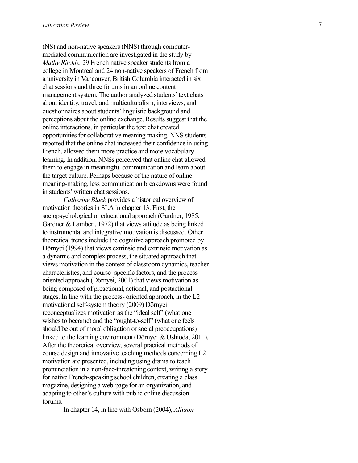(NS) and non -native speakers (NNS) through compute r mediated communication are investigated in the study by Mathy Ritchie. 29 French native speaker students from a college in Montreal and 24 non -native speakers of French from a university in Vancouve r , British Columbia interacted in six chat sessions and three forums in an online content management system. The author analyzed students' text chats about identity, travel, and multiculturalism, interviews, and questionnaires about students'linguistic background and perceptions about the online exchange. Results suggest that the online interactions, in particular the text chat created opportunities for collaborative meaning making. NNS students reported that the online chat increased their confidence in using French, allowed them more practice and more vocabulary learning. In addition, NNSs perceived that online chat allowed them to engage in meaningful communication and learn about the target culture. Perhaps because of the nature of online meaning -making, less communication breakdowns were found in students'written chat sessions.

*Catherine Black* provides a historical overview of motivation theories in SLA in chapter 13. First, the sociopsychological or educational approach (Gardner, 1985; Gardner & Lambert, 1972) that views attitude as being linked to instrumental and integrative motivation is discussed. Other theoretical trends include the cognitive approach promoted by Dörnyei (1994) that views extrinsic and extrinsic motivation as a dynamic and complex process, the situated approach that views motivation in the context of classroom dynamics, teacher characteristics, and course- specific factors, and the processoriented approach (Dörnyei, 2001) that views motivation as being composed of preactional, actional, and postactional stages. In line with the process - oriented approach, in the L2 motivationalself-system theory (2009) Dörnyei reconceptualizes motivation as the "ideal self" (what one wishes to become) and the "ought-to-self" (what one feels should be out of moral obligation or social preoccupations) linked to the learning environment (Dörnyei & Ushioda, 2011). After the theoretical overvie w, several practical methods of course design and innovative teaching methods concerning L2 motivation are presented, including using drama to teach pronunciation in a non -face -threatening context, writing a story for native French -speaking school children, creating a class magazine, designing a web -page for an o rganization, and adapting to othe r ' s culture with public online discussion forums.

In chapter 14, in line with Osborn (2004), *Allyson*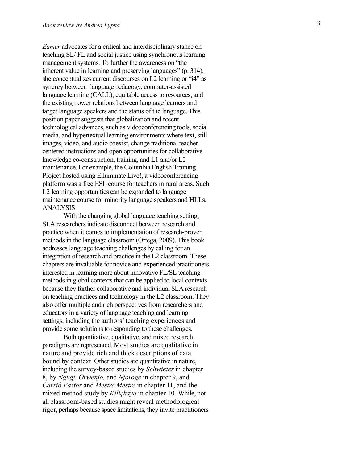*Eamer* advocates for a critical and interdisciplinary stance on teaching SL/ FL and social justice using synchronous learning management systems. To further the awareness on "the inherent value in learning and preserving languages" (p. 314), she conceptualizes current discourses on L2 learning or "i4" as syne rgy between language pedagogy, compute r -assisted language learning (CALL), equitable access to resources, and the existing power relations between language learners and target language speakers and the status of the language. This position paper suggests that globalization and recent technological advances, such as videoconferencing tools, social media, and hypertextual learning environments where text, still images, video, and audio coexist, change traditional teache r centered instructions and open opportunities for collaborative knowledge co -construction, training, and L1 and/or L2 maintenance. For example, the Columbia English Training Project hosted using Elluminate Live!, a videoconferencing platform was a free ESL course for teachers in rural areas. Such L2 learning opportunities can be expanded to language maintenance course for minority language speakers and HLLs. ANA LYSIS

With the changing global language teaching setting, SLA researchers indicate disconnect between research and practice when it comes to implementation of research -proven methods in the language classroom (Ortega, 2009). This book addresses language teaching challenges by calling for an integration of research and practice in the L2 classroom. These chapters are invaluable for novice and experienced practitioners interested in learning more about innovative FL/SL teaching methods in global contexts that can be applied to local contexts because they further collaborative and individual SLA research on teaching practices and technology in the L2 classroom. They also offer multiple and rich perspectives from researchers and educators in a variety of language teaching and learning settings, including the authors' teaching experiences and provide some solutions to responding to these challenges .

Both quantitative, qualitative, and mixed research paradigms are represented. Most studies are qualitative in nature and provide rich and thick descriptions of data bound by context. Other studies are quantitative in nature, including the survey -based studies by *Schwieter* in chapter 8, by *Ngugi, Orwenjo,* and *Njo roge* in chapter 9, and *Carrió Pastor* and *Mest re Mest re* in chapter 11, and the mixed method stud y by *Kiliçkaya* in chapter 10*.* While, not all classroom -based studies might reveal methodological rigor, perhaps because space limitations, they invite practitioners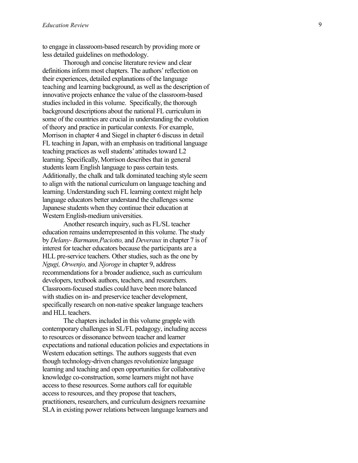to engage in classroom -based research by providing more or less detailed guidelines on methodology.

Thorough and concise literature review and clear definitions inform most chapters. The authors' reflection on their experiences, detailed explanations of the language teaching and learning background, as well as the description of innovative projects enhance the value of the classroom -based studies included in this volume . Specifically, the thorough background descriptions about the national FL curriculum in some of the countries are crucial in understanding the evolution of theory and practice in particular contexts. For example, Morrison in chapter 4 and Siegel in chapter 6 discuss in detail FL teaching in Japan, with an emphasis on traditional language teaching practices as well students' attitudes toward L2 learning. Specifically, Morrison describes that in general students learn English language to pass certain tests. Additionally, the chalk and talk dominated teaching style seem to align with the national curriculum on language teaching and learning. Understanding such FL learning context might help language educators better understand the challenges some Japanese students when they continue their education at Western English -medium universities.

Another research inquiry, such as FL/SL teacher education remains underrepresented in this volume. The study by *Delany - Barmann,Paciotto,* and *Deveraux* in chapter 7 is of interest for teacher educators because the participants are a HLL pre -service teachers. Other studies, such as the one by *Ngugi, Orwenjo,* and *Njo roge* in chapter 9, address recommendations for a broader audience, such as curriculum developers, textbook authors, teachers, and researchers. Classroom -focused studies could have been more balanced with studies on in - and preservice teacher development, specifically research on non -native speaker language teachers and HLL teachers.

The chapters included in this volume grapple with contemporary challenges in SL/FL pedagogy, including access to resources or dissonance between teacher and learner expectations and national education policies and expectations in Western education settings. The authors suggests that even though technology -driven changes revolutionize language learning and teaching and open opportunities for collaborative knowledge co-construction, some learners might not have access to these resources. Some authors call for equitable access to resources, and they propose that teachers, practitioners, researchers, and curriculum designers reexamine SLA in existing power relations between language learners and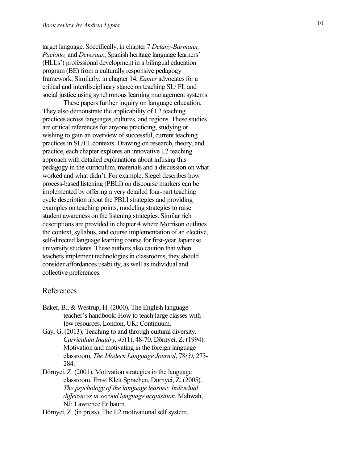target language. Specifically, in chapter 7 *Delany -Barmann, Paciotto,* and *Deveraux*, Spanish heritage language learners' (HLLs') professional development in a bilingual education program (BE) from a culturally responsive pedagogy framework. Similarly, in chapter 14, *Eamer* advocates for a critical and interdisciplinary stance on teaching SL/ FL and social justice using synchronous learning management systems.

These papers further inquiry on language education. They also demonstrate the applicability of L2 teaching practices across languages, cultures, and regions. These studies are critical references for anyone practicing, studying or wishing to gain an overview of successful, current teaching practices in SL/FL contexts. Drawing on research, theory, and practice, each chapter explores an innovative L2 teaching approach with detailed explanations about infusing this pedagogy in the curriculum, materials and a discussion on what worked and what didn 't. For example, Siegel describes how process -based listening (PBLI) on discourse markers can be implemented by o ffering a very detailed four -part teaching cycle description about the PBLI strategies and providing examples on teaching points, modeling strategies to raise student awareness on the listening strategies. Similar rich descriptions are provided in chapter 4 where Morrison outlines the context, syllabus, and course implementation of an elective, self-directed language learning course for first -year Japanese university students. These authors also caution that when teachers implement technologies in classrooms, they should consider a ffordances usability, as well as individual and collective preferences .

#### References

- Baker, B., & Westrup, H. (2000). The English language teache r ' s handbook: How to teach large classes with few resources. London, UK: Continuum.
- Gay, G. (2013). Teaching to and through cultural diversity . *Curriculum Inquiry* , *43*(1), 48 -70. Dörnyei, Z. (1994). Motivation and motivating in the foreign language classroom. *The Modern Language Journal* , 78*(3),* 273 - 284.
- Dörnyei, Z. (2001). Motivation strategies in the language class room. Ernst Klett Sprachen. Dörnyei, Z. (2005). *The psychology of the language learner: Individual diffe rencesin second language acquisition*. Mahwah, NJ: Lawrence Erlbaum.

Dörnyei, Z. (in press). The L2 motivational self system.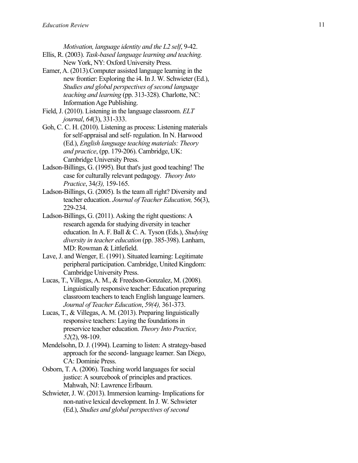*Motivation, language identity and the L2 self*, 9 -42.

- Ellis, R. (2003). *Task-based language learning and teaching.* New York, NY : Oxford University Press.
- Eame r , A. (2013) *.*Computer assisted language learning in the new frontier: Exploring the i4. In J. W. Schwieter (Ed.), *Studies and global perspectives of second language teaching and learning* (pp. 313 -328). Charlotte, NC: Information Age Publishing.
- Field, J. (2010). Listening in the language classroom. *EL T journal* , *64*(3), 331 -333.
- Goh, C. C. H. (2010). Listening as process: Listening materials for self-appraisal and self- regulation. In N. Harwood (Ed.), *English language teaching materials: Theory and practice* , (pp. 179 -206). Cambridge, UK: Cambridge University Press.
- Ladson -Billings, G. (1995). But that's just good teaching! The case for culturally relevant pedagogy . *Theory Into Practice*, 34*(3),* 159 -165.
- Ladson -Billings, G. (2005). Is the team all right? Diversity and teacher education. *Journal of Teacher Education,* 56(3), 229 -234.
- Ladson-Billings, G. (2011). Asking the right questions: A research agenda for studying diversity in teacher education. In A. F. Ball & C. A. Tyson (Eds.), *Studying diversity in teacher education* (pp. 385 -398). Lanham, MD: Rowman & Littlefield.
- Lave, J. and Wenger, E. (1991). Situated learning: Legitimate peripheral participation. Cambridge, United Kingdom : Cambridge University Press.
- Lucas, T., Villegas, A. M., & Freedson -Gonzalez, M. (2008). Linguistically responsive teacher: Education preparing classroom teachers to teach English language learners. *Journal of Teacher Education*, *59(4),* 361 -373.
- Lucas, T., & Villegas, A. M. (2013). Preparing linguistically responsive teachers: Laying the foundations in preservice teacher education. *Theory Into Practice, 52*(2), 98 -109.
- Mendelsohn, D. J. (1994). Learning to listen: A strategy-based app roach for the second - language learner. San Diego, CA: Dominie Press.
- Osborn, T. A. (2006). Teaching world languages for social justice: A sourcebook of principles and practices. Mahwah, NJ: Lawrence Erlbaum.
- Schwieter, J. W. (2013). Immersion learning- Implications for non -native lexical development. In J. W. Schwieter (Ed.), *Studies and global perspectives of second*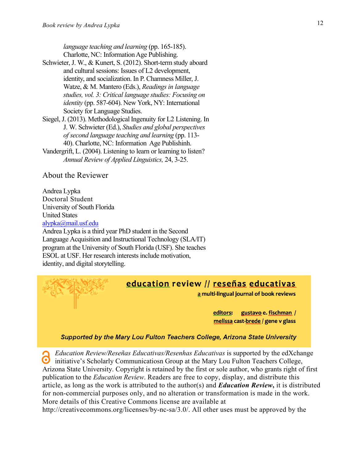*language teaching and learning* (pp. 165-185). Charlotte, NC: Information Age Publishing.

- Schwieter, J. W., & Kunert, S. (2012). Short-term study aboard and cultural sessions: Issues of L2 development, identity, and socialization. In P. Chamness Miller, J. Watze, & M. Mantero (Eds.), *Readings in language studies, vol. 3: Critical language studies: Focusing on identity* (pp. 587-604). New York, NY: International Society for Language Studies.
- Siegel, J. (2013). Methodological Ingenuity for L2 Listening. In J. W. Schwieter (Ed.), *Studies and global perspectives of second language teaching and learning* (pp. 113- 40). Charlotte, NC: Information Age Publishinh.
- Vandergrift, L. (2004). Listening to learn or learning to listen? *Annual Review of Applied Linguistics,* 24, 3-25.

## About the Reviewer

Andrea Lypka Doctoral Student University of South Florida United States alypka@mail.usf.edu

Andrea Lypka is a third year PhD student in the Second Language Acquisition and Instructional Technology (SLA/IT) program at the University of South Florida (USF). She teaches ESOL at USF. Her research interests include motivation, identity, and digital storytelling.

# education review // reseñas educativas

a multi-lingual journal of book reviews

editors: gustavo e. fischman / melissa cast-brede / gene v glass

#### Supported by the Mary Lou Fulton Teachers College, Arizona State University

*Education Review/Reseñas Educativas/Resenhas Educativas* is supported by the edXchange initiative's Scholarly Communicatiosn Group at the Mary Lou Fulton Teachers College, Arizona State University. Copyright is retained by the first or sole author, who grants right of first publication to the *Education Review*. Readers are free to copy, display, and distribute this article, as long as the work is attributed to the author(s) and *Education Review***,** it is distributed for non-commercial purposes only, and no alteration or transformation is made in the work. More details of this Creative Commons license are available at

http://creativecommons.org/licenses/by-nc-sa/3.0/. All other uses must be approved by the